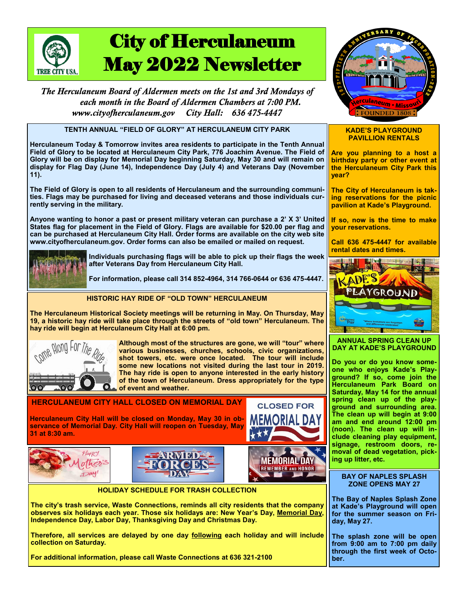

# City of Herculaneum May 2022 Newsletter

The Herculaneum Board of Aldermen meets on the 1st and 3rd Mondays of each month in the Board of Aldermen Chambers at 7:00 PM. City Hall: 636 475-4447 www.citvofherculaneum.gov

**TENTH ANNUAL "FIELD OF GLORY" AT HERCULANEUM CITY PARK**

**Herculaneum Today & Tomorrow invites area residents to participate in the Tenth Annual Field of Glory to be located at Herculaneum City Park, 776 Joachim Avenue. The Field of Glory will be on display for Memorial Day beginning Saturday, May 30 and will remain on display for Flag Day (June 14), Independence Day (July 4) and Veterans Day (November 11).**

**The Field of Glory is open to all residents of Herculaneum and the surrounding communities. Flags may be purchased for living and deceased veterans and those individuals currently serving in the military.**

**Anyone wanting to honor a past or present military veteran can purchase a 2' X 3' United States flag for placement in the Field of Glory. Flags are available for \$20.00 per flag and can be purchased at Herculaneum City Hall. Order forms are available on the city web site www.cityofherculaneum.gov. Order forms can also be emailed or mailed on request.**



**Individuals purchasing flags will be able to pick up their flags the week after Veterans Day from Herculaneum City Hall.**

**For information, please call 314 852-4964, 314 766-0644 or 636 475-4447.**

## **HISTORIC HAY RIDE OF "OLD TOWN" HERCULANEUM**

**The Herculaneum Historical Society meetings will be returning in May. On Thursday, May 19, a historic hay ride will take place through the streets of "old town" Herculaneum. The hay ride will begin at Herculaneum City Hall at 6:00 pm.** 



**Although most of the structures are gone, we will "tour" where various businesses, churches, schools, civic organizations, shot towers, etc. were once located. The tour will include some new locations not visited during the last tour in 2019. The hay ride is open to anyone interested in the early history of the town of Herculaneum. Dress appropriately for the type of event and weather.**

## **HERCULANEUM CITY HALL CLOSED ON MEMORIAL DAY**

**Herculaneum City Hall will be closed on Monday, May 30 in observance of Memorial Day. City Hall will reopen on Tuesday, May 31 at 8:30 am.**







**HOLIDAY SCHEDULE FOR TRASH COLLECTION**

**The city's trash service, Waste Connections, reminds all city residents that the company observes six holidays each year. Those six holidays are: New Year's Day, Memorial Day, Independence Day, Labor Day, Thanksgiving Day and Christmas Day.**

**Therefore, all services are delayed by one day following each holiday and will include collection on Saturday.**

**For additional information, please call Waste Connections at 636 321-2100**



#### **KADE'S PLAYGROUND PAVILLION RENTALS**

**Are you planning to a host a birthday party or other event at the Herculaneum City Park this year?**

**The City of Herculaneum is taking reservations for the picnic pavilion at Kade's Playground.**

**If so, now is the time to make your reservations.**

**Call 636 475-4447 for available rental dates and times.**



**ANNUAL SPRING CLEAN UP DAY AT KADE'S PLAYGROUND**

**Do you or do you know someone who enjoys Kade's Playground? If so, come join the Herculaneum Park Board on Saturday, May 14 for the annual spring clean up of the playground and surrounding area. The clean up will begin at 9:00 am and end around 12:00 pm (noon). The clean up will include cleaning play equipment, signage, restroom doors, removal of dead vegetation, picking up litter, etc.** 

#### **BAY OF NAPLES SPLASH ZONE OPENS MAY 27**

**The Bay of Naples Splash Zone at Kade's Playground will open for the summer season on Friday, May 27.**

**The splash zone will be open from 9:00 am to 7:00 pm daily through the first week of October.**